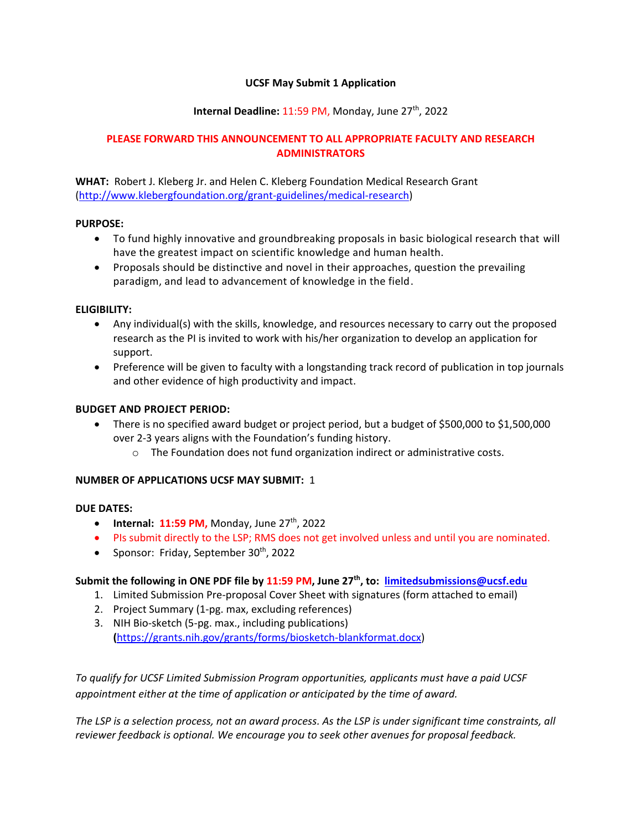## **UCSF May Submit 1 Application**

## **Internal Deadline: 11:59 PM, Monday, June 27<sup>th</sup>, 2022**

# **PLEASE FORWARD THIS ANNOUNCEMENT TO ALL APPROPRIATE FACULTY AND RESEARCH ADMINISTRATORS**

**WHAT:** Robert J. Kleberg Jr. and Helen C. Kleberg Foundation Medical Research Grant [\(http://www.klebergfoundation.org/grant-guidelines/medical-research\)](http://www.klebergfoundation.org/grant-guidelines/medical-research)

### **PURPOSE:**

- To fund highly innovative and groundbreaking proposals in basic biological research that will have the greatest impact on scientific knowledge and human health.
- Proposals should be distinctive and novel in their approaches, question the prevailing paradigm, and lead to advancement of knowledge in the field.

### **ELIGIBILITY:**

- Any individual(s) with the skills, knowledge, and resources necessary to carry out the proposed research as the PI is invited to work with his/her organization to develop an application for support.
- Preference will be given to faculty with a longstanding track record of publication in top journals and other evidence of high productivity and impact.

### **BUDGET AND PROJECT PERIOD:**

- There is no specified award budget or project period, but a budget of \$500,000 to \$1,500,000 over 2-3 years aligns with the Foundation's funding history.
	- $\circ$  The Foundation does not fund organization indirect or administrative costs.

### **NUMBER OF APPLICATIONS UCSF MAY SUBMIT:** 1

#### **DUE DATES:**

- **•** Internal:  $11:59$  PM, Monday, June  $27<sup>th</sup>$ , 2022
- PIs submit directly to the LSP; RMS does not get involved unless and until you are nominated.
- Sponsor: Friday, September  $30<sup>th</sup>$ , 2022

# **Submit the following in ONE PDF file by 11:59 PM, June 27th , to: [limitedsubmissions@ucsf.edu](mailto:limitedsubmissions@ucsf.edu)**

- 1. Limited Submission Pre-proposal Cover Sheet with signatures (form attached to email)
- 2. Project Summary (1-pg. max, excluding references)
- 3. NIH Bio-sketch (5-pg. max., including publications) **(**[https://grants.nih.gov/grants/forms/biosketch-blankformat.docx\)](https://grants.nih.gov/grants/forms/biosketch-blankformat.docx)

*To qualify for UCSF Limited Submission Program opportunities, applicants must have a paid UCSF appointment either at the time of application or anticipated by the time of award.*

*The LSP is a selection process, not an award process. As the LSP is under significant time constraints, all reviewer feedback is optional. We encourage you to seek other avenues for proposal feedback.*